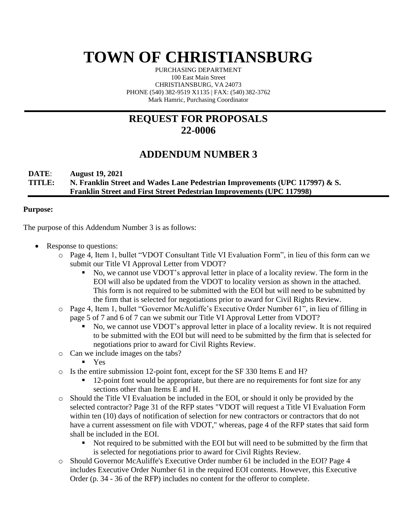# **TOWN OF CHRISTIANSBURG**

PURCHASING DEPARTMENT 100 East Main Street CHRISTIANSBURG, VA 24073 PHONE (540) 382-9519 X1135 | FAX: (540) 382-3762 Mark Hamric, Purchasing Coordinator

## **REQUEST FOR PROPOSALS 22-0006**

## **ADDENDUM NUMBER 3**

#### **DATE**: **August 19, 2021 TITLE: N. Franklin Street and Wades Lane Pedestrian Improvements (UPC 117997) & S. Franklin Street and First Street Pedestrian Improvements (UPC 117998)**

#### **Purpose:**

The purpose of this Addendum Number 3 is as follows:

- Response to questions:
	- o Page 4, Item 1, bullet "VDOT Consultant Title VI Evaluation Form", in lieu of this form can we submit our Title VI Approval Letter from VDOT?
		- No, we cannot use VDOT's approval letter in place of a locality review. The form in the EOI will also be updated from the VDOT to locality version as shown in the attached. This form is not required to be submitted with the EOI but will need to be submitted by the firm that is selected for negotiations prior to award for Civil Rights Review.
	- o Page 4, Item 1, bullet "Governor McAuliffe's Executive Order Number 61", in lieu of filling in page 5 of 7 and 6 of 7 can we submit our Title VI Approval Letter from VDOT?
		- No, we cannot use VDOT's approval letter in place of a locality review. It is not required to be submitted with the EOI but will need to be submitted by the firm that is selected for negotiations prior to award for Civil Rights Review.
	- o Can we include images on the tabs?
		- Yes
	- o Is the entire submission 12-point font, except for the SF 330 Items E and H?
		- 12-point font would be appropriate, but there are no requirements for font size for any sections other than Items E and H.
	- o Should the Title VI Evaluation be included in the EOI, or should it only be provided by the selected contractor? Page 31 of the RFP states "VDOT will request a Title VI Evaluation Form within ten (10) days of notification of selection for new contractors or contractors that do not have a current assessment on file with VDOT," whereas, page 4 of the RFP states that said form shall be included in the EOI.
		- Not required to be submitted with the EOI but will need to be submitted by the firm that is selected for negotiations prior to award for Civil Rights Review.
	- o Should Governor McAuliffe's Executive Order number 61 be included in the EOI? Page 4 includes Executive Order Number 61 in the required EOI contents. However, this Executive Order (p. 34 - 36 of the RFP) includes no content for the offeror to complete.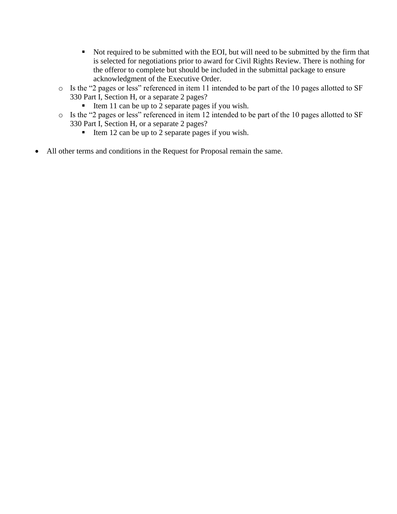- Not required to be submitted with the EOI, but will need to be submitted by the firm that is selected for negotiations prior to award for Civil Rights Review. There is nothing for the offeror to complete but should be included in the submittal package to ensure acknowledgment of the Executive Order.
- o Is the "2 pages or less" referenced in item 11 intended to be part of the 10 pages allotted to SF 330 Part I, Section H, or a separate 2 pages?
	- Item 11 can be up to 2 separate pages if you wish.
- o Is the "2 pages or less" referenced in item 12 intended to be part of the 10 pages allotted to SF 330 Part I, Section H, or a separate 2 pages?
	- Item 12 can be up to 2 separate pages if you wish.
- All other terms and conditions in the Request for Proposal remain the same.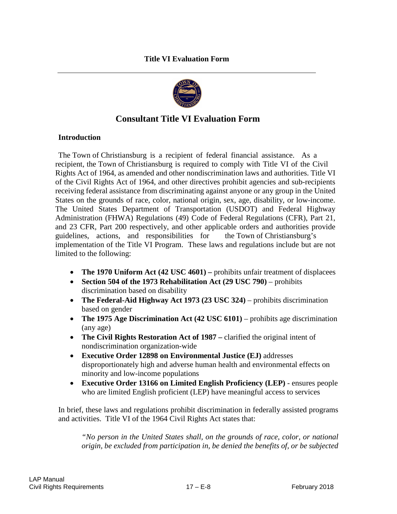

### **Consultant Title VI Evaluation Form**

#### **Introduction**

The Town of Christiansburg is a recipient of federal financial assistance. As a recipient, the Town of Christiansburg is required to comply with Title VI of the Civil Rights Act of 1964, as amended and other nondiscrimination laws and authorities. Title VI of the Civil Rights Act of 1964, and other directives prohibit agencies and sub-recipients receiving federal assistance from discriminating against anyone or any group in the United States on the grounds of race, color, national origin, sex, age, disability, or low-income. The United States Department of Transportation (USDOT) and Federal Highway Administration (FHWA) Regulations (49) Code of Federal Regulations (CFR), Part 21, and 23 CFR, Part 200 respectively, and other applicable orders and authorities provide guidelines, actions, and responsibilities for the Town of Christiansburg's implementation of the Title VI Program. These laws and regulations include but are not limited to the following:

- **The 1970 Uniform Act (42 USC 4601)** prohibits unfair treatment of displacees
- **Section 504 of the 1973 Rehabilitation Act (29 USC 790)** prohibits discrimination based on disability
- **The Federal-Aid Highway Act 1973 (23 USC 324)** prohibits discrimination based on gender
- **The 1975 Age Discrimination Act (42 USC 6101)** prohibits age discrimination (any age)
- **The Civil Rights Restoration Act of 1987 –** clarified the original intent of nondiscrimination organization-wide
- **Executive Order 12898 on Environmental Justice (EJ)** addresses disproportionately high and adverse human health and environmental effects on minority and low-income populations
- **Executive Order 13166 on Limited English Proficiency (LEP)**  ensures people who are limited English proficient (LEP) have meaningful access to services

In brief, these laws and regulations prohibit discrimination in federally assisted programs and activities. Title VI of the 1964 Civil Rights Act states that:

*"No person in the United States shall, on the grounds of race, color, or national origin, be excluded from participation in, be denied the benefits of, or be subjected*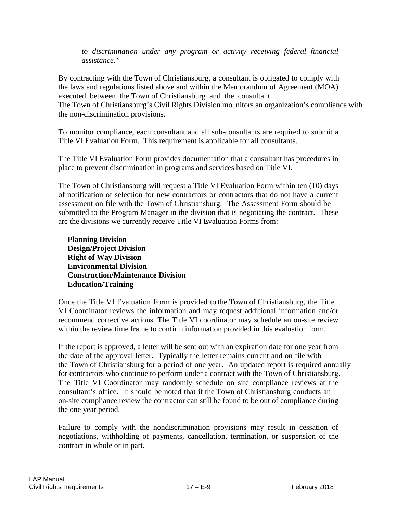*to discrimination under any program or activity receiving federal financial assistance."*

By contracting with the Town of Christiansburg, a consultant is obligated to comply with the laws and regulations listed above and within the Memorandum of Agreement (MOA) executed between the Town of Christiansburg and the consultant. The Town of Christiansburg's Civil Rights Division mo nitors an organization's compliance with the non-discrimination provisions.

To monitor compliance, each consultant and all sub-consultants are required to submit a Title VI Evaluation Form. This requirement is applicable for all consultants.

The Title VI Evaluation Form provides documentation that a consultant has procedures in place to prevent discrimination in programs and services based on Title VI.

The Town of Christiansburg will request a Title VI Evaluation Form within ten (10) days of notification of selection for new contractors or contractors that do not have a current assessment on file with the Town of Christiansburg. The Assessment Form should be submitted to the Program Manager in the division that is negotiating the contract. These are the divisions we currently receive Title VI Evaluation Forms from:

**Planning Division Design/Project Division Right of Way Division Environmental Division Construction/Maintenance Division Education/Training**

Once the Title VI Evaluation Form is provided to the Town of Christiansburg, the Title VI Coordinator reviews the information and may request additional information and/or recommend corrective actions. The Title VI coordinator may schedule an on-site review within the review time frame to confirm information provided in this evaluation form.

If the report is approved, a letter will be sent out with an expiration date for one year from the date of the approval letter. Typically the letter remains current and on file with the Town of Christiansburg for a period of one year. An updated report is required annually for contractors who continue to perform under a contract with the Town of Christiansburg. The Title VI Coordinator may randomly schedule on site compliance reviews at the consultant's office. It should be noted that if the Town of Christiansburg conducts an on-site compliance review the contractor can still be found to be out of compliance during the one year period.

Failure to comply with the nondiscrimination provisions may result in cessation of negotiations, withholding of payments, cancellation, termination, or suspension of the contract in whole or in part.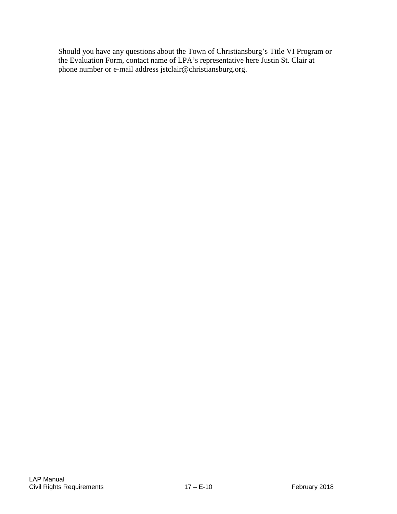Should you have any questions about the Town of Christiansburg's Title VI Program or the Evaluation Form, contact name of LPA's representative here Justin St. Clair at phone number or e-mail address jstclair@christiansburg.org.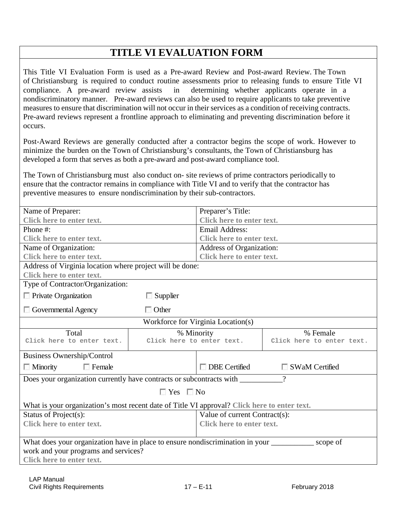## **TITLE VI EVALUATION FORM**

This Title VI Evaluation Form is used as a Pre-award Review and Post-award Review. The Town of Christiansburg is required to conduct routine assessments prior to releasing funds to ensure Title VI compliance. A pre-award review assists in determining whether applicants operate in a nondiscriminatory manner. Pre-award reviews can also be used to require applicants to take preventive measures to ensure that discrimination will not occur in their services as a condition of receiving contracts. Pre-award reviews represent a frontline approach to eliminating and preventing discrimination before it occurs.

Post-Award Reviews are generally conducted after a contractor begins the scope of work. However to minimize the burden on the Town of Christiansburg's consultants, the Town of Christiansburg has developed a form that serves as both a pre-award and post-award compliance tool.

The Town of Christiansburg must also conduct on- site reviews of prime contractors periodically to ensure that the contractor remains in compliance with Title VI and to verify that the contractor has preventive measures to ensure nondiscrimination by their sub-contractors.

| Name of Preparer:                                                                            |                           | Preparer's Title:             |                           |  |  |  |  |
|----------------------------------------------------------------------------------------------|---------------------------|-------------------------------|---------------------------|--|--|--|--|
| Click here to enter text.                                                                    |                           | Click here to enter text.     |                           |  |  |  |  |
| Phone #:                                                                                     |                           | <b>Email Address:</b>         |                           |  |  |  |  |
| Click here to enter text.                                                                    |                           | Click here to enter text.     |                           |  |  |  |  |
| Name of Organization:                                                                        |                           | Address of Organization:      |                           |  |  |  |  |
| Click here to enter text.                                                                    |                           | Click here to enter text.     |                           |  |  |  |  |
| Address of Virginia location where project will be done:                                     |                           |                               |                           |  |  |  |  |
| <b>Click here to enter text.</b>                                                             |                           |                               |                           |  |  |  |  |
| Type of Contractor/Organization:                                                             |                           |                               |                           |  |  |  |  |
| $\Box$ Private Organization                                                                  | $\Box$ Supplier           |                               |                           |  |  |  |  |
| <b>Governmental Agency</b>                                                                   | $\Box$ Other              |                               |                           |  |  |  |  |
| Workforce for Virginia Location(s)                                                           |                           |                               |                           |  |  |  |  |
| Total                                                                                        | % Minority                |                               | % Female                  |  |  |  |  |
| Click here to enter text.                                                                    | Click here to enter text. |                               | Click here to enter text. |  |  |  |  |
| <b>Business Ownership/Control</b>                                                            |                           |                               |                           |  |  |  |  |
| $\Box$ Female<br>$\Box$ Minority                                                             |                           | <b>DBE</b> Certified          | □ SWaM Certified          |  |  |  |  |
| $\gamma$                                                                                     |                           |                               |                           |  |  |  |  |
| $\Box$ Yes $\Box$ No                                                                         |                           |                               |                           |  |  |  |  |
| What is your organization's most recent date of Title VI approval? Click here to enter text. |                           |                               |                           |  |  |  |  |
| Status of Project(s):                                                                        |                           | Value of current Contract(s): |                           |  |  |  |  |
| <b>Click here to enter text.</b>                                                             |                           | Click here to enter text.     |                           |  |  |  |  |
| scope of                                                                                     |                           |                               |                           |  |  |  |  |
| work and your programs and services?                                                         |                           |                               |                           |  |  |  |  |
| <b>Click here to enter text.</b>                                                             |                           |                               |                           |  |  |  |  |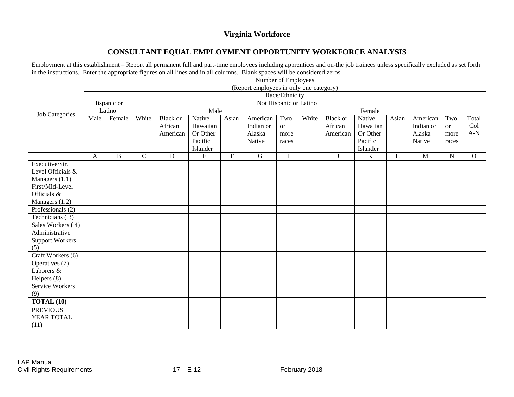#### **Virginia Workforce**

#### **CONSULTANT EQUAL EMPLOYMENT OPPORTUNITY WORKFORCE ANALYSIS**

Employment at this establishment – Report all permanent full and part-time employees including apprentices and on-the job trainees unless specifically excluded as set forth in the instructions. Enter the appropriate figures on all lines and in all columns. Blank spaces will be considered zeros.

|                        | Number of Employees                     |              |                        |                 |           |             |             |           |       |                 |          |       |           |               |              |
|------------------------|-----------------------------------------|--------------|------------------------|-----------------|-----------|-------------|-------------|-----------|-------|-----------------|----------|-------|-----------|---------------|--------------|
| Job Categories         | (Report employees in only one category) |              |                        |                 |           |             |             |           |       |                 |          |       |           |               |              |
|                        | Race/Ethnicity                          |              |                        |                 |           |             |             |           |       |                 |          |       |           |               |              |
|                        | Hispanic or                             |              | Not Hispanic or Latino |                 |           |             |             |           |       |                 |          |       |           |               |              |
|                        | Latino                                  |              | Male                   |                 |           |             | Female      |           |       |                 |          |       |           |               |              |
|                        | Male                                    | Female       | White                  | <b>Black</b> or | Native    | Asian       | American    | Two       | White | <b>Black or</b> | Native   | Asian | American  | Two           | Total        |
|                        |                                         |              |                        | African         | Hawaiian  |             | Indian or   | <b>or</b> |       | African         | Hawaiian |       | Indian or | <sub>or</sub> | Col          |
|                        |                                         |              |                        | American        | Or Other  |             | Alaska      | more      |       | American        | Or Other |       | Alaska    | more          | $A-N$        |
|                        |                                         |              |                        |                 | Pacific   |             | Native      | races     |       |                 | Pacific  |       | Native    | races         |              |
|                        |                                         |              |                        |                 | Islander  |             |             |           |       |                 | Islander |       |           |               |              |
|                        | A                                       | $\, {\bf B}$ | $\mathbf C$            | D               | ${\bf E}$ | $\mathbf F$ | $\mathbf G$ | H         | I     | $\mathbf{J}$    | $\bf K$  | L     | M         | ${\bf N}$     | $\mathbf{O}$ |
| Executive/Sir.         |                                         |              |                        |                 |           |             |             |           |       |                 |          |       |           |               |              |
| Level Officials &      |                                         |              |                        |                 |           |             |             |           |       |                 |          |       |           |               |              |
| Managers (1.1)         |                                         |              |                        |                 |           |             |             |           |       |                 |          |       |           |               |              |
| First/Mid-Level        |                                         |              |                        |                 |           |             |             |           |       |                 |          |       |           |               |              |
| Officials &            |                                         |              |                        |                 |           |             |             |           |       |                 |          |       |           |               |              |
| Managers (1.2)         |                                         |              |                        |                 |           |             |             |           |       |                 |          |       |           |               |              |
| Professionals $(2)$    |                                         |              |                        |                 |           |             |             |           |       |                 |          |       |           |               |              |
| Technicians (3)        |                                         |              |                        |                 |           |             |             |           |       |                 |          |       |           |               |              |
| Sales Workers (4)      |                                         |              |                        |                 |           |             |             |           |       |                 |          |       |           |               |              |
| Administrative         |                                         |              |                        |                 |           |             |             |           |       |                 |          |       |           |               |              |
| <b>Support Workers</b> |                                         |              |                        |                 |           |             |             |           |       |                 |          |       |           |               |              |
| (5)                    |                                         |              |                        |                 |           |             |             |           |       |                 |          |       |           |               |              |
| Craft Workers (6)      |                                         |              |                        |                 |           |             |             |           |       |                 |          |       |           |               |              |
| Operatives (7)         |                                         |              |                        |                 |           |             |             |           |       |                 |          |       |           |               |              |
| Laborers &             |                                         |              |                        |                 |           |             |             |           |       |                 |          |       |           |               |              |
| Helpers (8)            |                                         |              |                        |                 |           |             |             |           |       |                 |          |       |           |               |              |
| Service Workers        |                                         |              |                        |                 |           |             |             |           |       |                 |          |       |           |               |              |
| (9)                    |                                         |              |                        |                 |           |             |             |           |       |                 |          |       |           |               |              |
| <b>TOTAL (10)</b>      |                                         |              |                        |                 |           |             |             |           |       |                 |          |       |           |               |              |
| <b>PREVIOUS</b>        |                                         |              |                        |                 |           |             |             |           |       |                 |          |       |           |               |              |
| YEAR TOTAL             |                                         |              |                        |                 |           |             |             |           |       |                 |          |       |           |               |              |
| (11)                   |                                         |              |                        |                 |           |             |             |           |       |                 |          |       |           |               |              |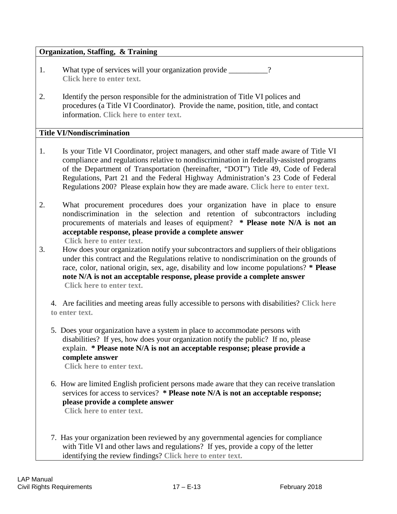#### **Organization, Staffing, & Training**

- 1. What type of services will your organization provide \_\_\_\_\_\_\_\_? **Click here to enter text.**
- 2. Identify the person responsible for the administration of Title VI polices and procedures (a Title VI Coordinator). Provide the name, position, title, and contact information. **Click here to enter text.**

#### **Title VI/Nondiscrimination**

- 1. Is your Title VI Coordinator, project managers, and other staff made aware of Title VI compliance and regulations relative to nondiscrimination in federally-assisted programs of the Department of Transportation (hereinafter, "DOT") Title 49, Code of Federal Regulations, Part 21 and the Federal Highway Administration's 23 Code of Federal Regulations 200? Please explain how they are made aware. **Click here to enter text.**
- 2. What procurement procedures does your organization have in place to ensure nondiscrimination in the selection and retention of subcontractors including procurements of materials and leases of equipment? **\* Please note N/A is not an acceptable response, please provide a complete answer Click here to enter text.**
- 3. How does your organization notify your subcontractors and suppliers of their obligations under this contract and the Regulations relative to nondiscrimination on the grounds of race, color, national origin, sex, age, disability and low income populations? **\* Please note N/A is not an acceptable response, please provide a complete answer Click here to enter text.**

4. Are facilities and meeting areas fully accessible to persons with disabilities? **Click here to enter text.**

5. Does your organization have a system in place to accommodate persons with disabilities? If yes, how does your organization notify the public? If no, please explain. **\* Please note N/A is not an acceptable response; please provide a complete answer**

**Click here to enter text.**

6. How are limited English proficient persons made aware that they can receive translation services for access to services? **\* Please note N/A is not an acceptable response; please provide a complete answer**

**Click here to enter text.**

7. Has your organization been reviewed by any governmental agencies for compliance with Title VI and other laws and regulations? If yes, provide a copy of the letter identifying the review findings? **Click here to enter text.**